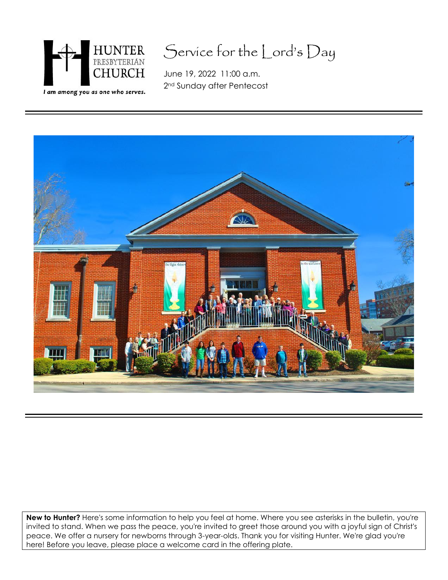

# Service for the Lord's Day

June 19, 2022 11:00 a.m. 2nd Sunday after Pentecost



**New to Hunter?** Here's some information to help you feel at home. Where you see asterisks in the bulletin, you're invited to stand. When we pass the peace, you're invited to greet those around you with a joyful sign of Christ's peace. We offer a nursery for newborns through 3-year-olds. Thank you for visiting Hunter. We're glad you're here! Before you leave, please place a welcome card in the offering plate.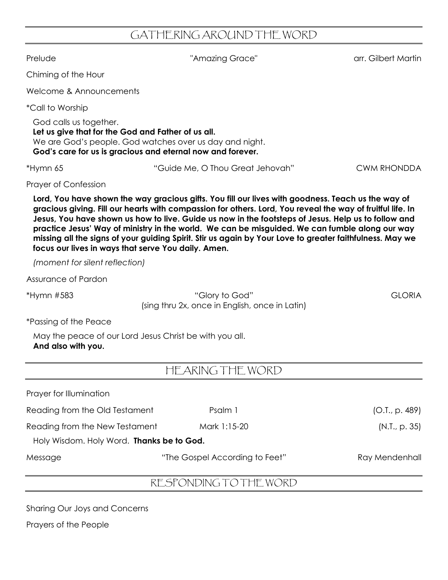## GATHERING AROUND THE WORD

Prelude "Amazing Grace" arr. Gilbert Martin Chiming of the Hour Welcome & Announcements \*Call to Worship God calls us together. **Let us give that for the God and Father of us all.** We are God's people. God watches over us day and night. **God's care for us is gracious and eternal now and forever.** \*Hymn 65 "Guide Me, O Thou Great Jehovah" CWM RHONDDA Prayer of Confession Lord, You have shown the way gracious gifts. You fill our lives with goodness. Teach us the way of gracious giving. Fill our hearts with compassion for others. Lord, You reveal the way of fruitful life. In Jesus. You have shown us how to live. Guide us now in the footsteps of Jesus. Help us to follow and **practice Jesus' Way of ministry in the world. We can be misguided. We can fumble along our way** missing all the signs of your guiding Spirit. Stir us again by Your Love to greater faithfulness. May we **focus our lives in ways that serve You daily. Amen.** *(moment for silent reflection)* Assurance of Pardon \*Hymn #583 "Glory to God" GLORIA (sing thru 2x, once in English, once in Latin) \*Passing of the Peace May the peace of our Lord Jesus Christ be with you all. **And also with you.** HEARING THE WORD Prayer for Illumination Reading from the Old Testament **Psalm 1** Psalm 1 (O.T., p. 489) Reading from the New Testament Mark 1:15-20 (N.T., p. 35) Holy Wisdom. Holy Word. **Thanks be to God.** Message "The Gospel According to Feet" Ray Mendenhall

#### RESPONDING TO THE WORD

Sharing Our Joys and Concerns

Prayers of the People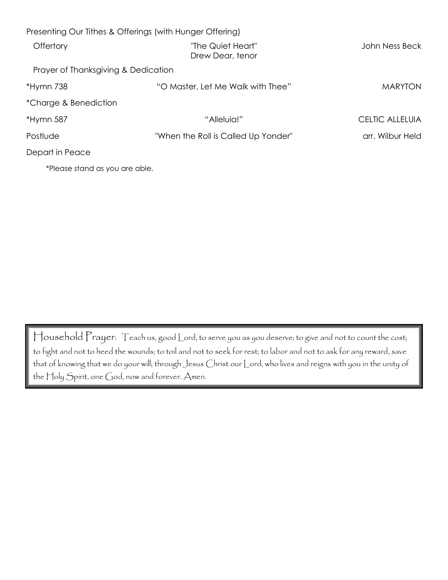| Presenting Our Tithes & Offerings (with Hunger Offering) |                                       |                  |
|----------------------------------------------------------|---------------------------------------|------------------|
| Offertory                                                | "The Quiet Heart"<br>Drew Dear, tenor | John Ness Beck   |
| Prayer of Thanksgiving & Dedication                      |                                       |                  |
| *Hymn 738                                                | "O Master, Let Me Walk with Thee"     | <b>MARYTON</b>   |
| *Charge & Benediction                                    |                                       |                  |
| *Hymn 587                                                | "Alleluia!"                           | CELTIC ALLELUIA  |
| Postlude                                                 | "When the Roll is Called Up Yonder"   | arr. Wilbur Held |
| Depart in Peace                                          |                                       |                  |
| *Please stand as you are able.                           |                                       |                  |

Household Prayer: Teach us, good Lord, to serve you as you deserve; to give and not to count the cost; to fight and not to heed the wounds; to toil and not to seek for rest; to labor and not to ask for any reward, save that of knowing that we do your will; through Jesus Christ our Lord, who lives and reigns with you in the unity of the Holy Spirit, one God, now and forever. Amen.